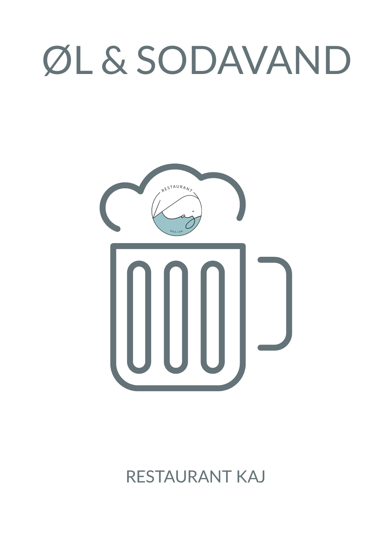# ØL & SODAVAND



# RESTAURANT KAJ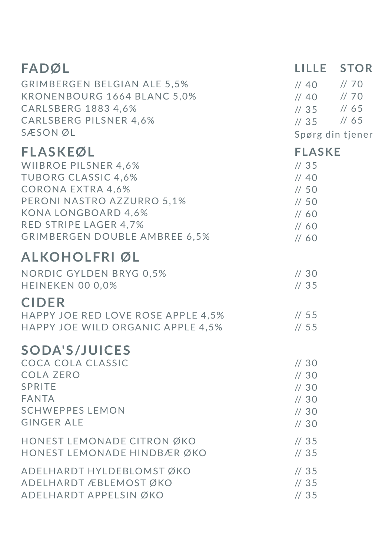| <b>FADØL</b><br>ERGEN BELGIAN ALE 5,5%<br>KRONENBOURG 1664 BLANC 5,0%<br>CARLSBERG 1883 4,6%<br>CARLSBERG PU SHELL<br>SÆSONØL                                                                                           | LILLE STOR<br>$1/40$ $1/70$<br>$1/40$ $1/70$<br>$1/35$ //65<br>// 35 // 65<br>Spørg din tjener |  |
|-------------------------------------------------------------------------------------------------------------------------------------------------------------------------------------------------------------------------|------------------------------------------------------------------------------------------------|--|
| <b>FLASKEØL</b><br>WIIBROE PILSNER 4,6%<br><b>TUBORG CLASSIC 4,6%</b><br><b>CORONA EXTRA 4,6%</b><br>PERONI NASTRO AZZURRO 5,1%<br><b>KONA LONGBOARD 4,6%</b><br>RED STRIPE LAGER 4,7%<br>GRIMBERGEN DOUBLE AMBREE 6,5% | <b>FLASKE</b><br>1/35<br>1/40<br>1/50<br>1/50<br>1/60<br>1/60<br>1/60                          |  |
| <b>ALKOHOLFRI ØL</b><br>NORDIC GYLDEN BRYG 0,5%<br>HEINEKEN 00 0,0%<br><b>CIDER</b><br>HAPPY JOE RED LOVE ROSE APPLE 4,5%<br>HAPPY JOE WILD ORGANIC APPLE 4,5%                                                          | 1/30<br>1/35<br>1/55<br>1/55                                                                   |  |
| <b>SODA'S/JUICES</b><br>COCA COLA CLASSIC<br><b>COLA ZERO</b><br>SPRITE<br><b>FANTA</b><br><b>SCHWEPPES LEMON</b><br><b>GINGER ALE</b>                                                                                  | 1/30<br>$\frac{\pi}{30}$<br>1/30<br>1/30<br>$\frac{\pi}{30}$<br>1/30                           |  |
| HONEST LEMONADE CITRON ØKO<br>HONEST LEMONADE HINDBÆR ØKO                                                                                                                                                               | 1/35<br>1/35                                                                                   |  |
| ADELHARDT HYLDEBLOMSTØKO<br>ADELHARDT ÆBLEMOST ØKO<br>ADELHARDT APPELSIN ØKO                                                                                                                                            | 1/35<br>1/35<br>1/35                                                                           |  |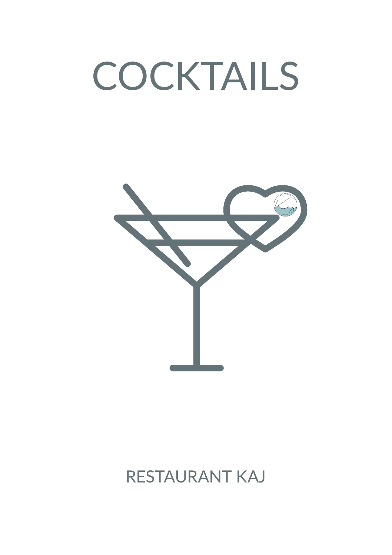# COCKTAILS



# RESTAURANT KAJ